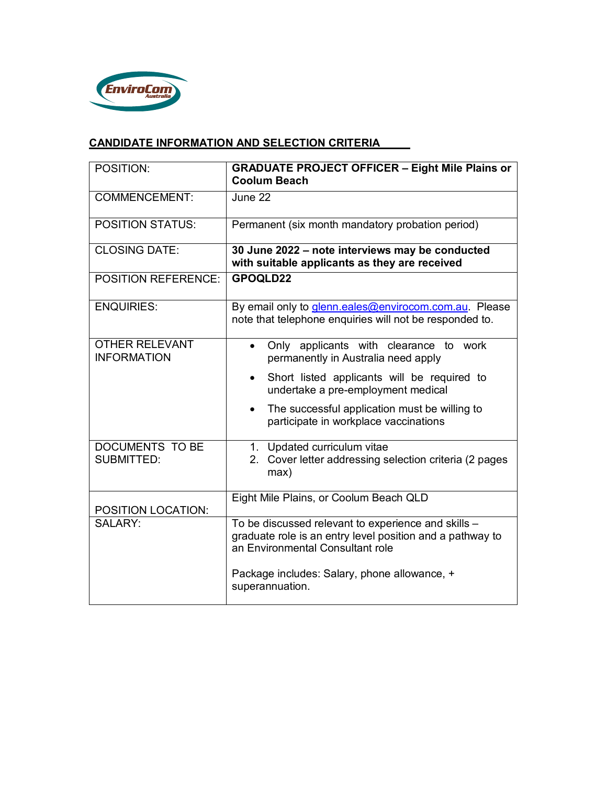

# **CANDIDATE INFORMATION AND SELECTION CRITERIA**

| POSITION:                                   | <b>GRADUATE PROJECT OFFICER - Eight Mile Plains or</b><br><b>Coolum Beach</b>                                                                        |
|---------------------------------------------|------------------------------------------------------------------------------------------------------------------------------------------------------|
| <b>COMMENCEMENT:</b>                        | June 22                                                                                                                                              |
| <b>POSITION STATUS:</b>                     | Permanent (six month mandatory probation period)                                                                                                     |
| <b>CLOSING DATE:</b>                        | 30 June 2022 - note interviews may be conducted<br>with suitable applicants as they are received                                                     |
| <b>POSITION REFERENCE:</b>                  | GPOQLD22                                                                                                                                             |
| <b>ENQUIRIES:</b>                           | By email only to <i>glenn.eales@envirocom.com.au.</i> Please<br>note that telephone enquiries will not be responded to.                              |
| <b>OTHER RELEVANT</b><br><b>INFORMATION</b> | Only applicants with clearance to work<br>$\bullet$<br>permanently in Australia need apply                                                           |
|                                             | Short listed applicants will be required to<br>$\bullet$<br>undertake a pre-employment medical                                                       |
|                                             | The successful application must be willing to<br>$\bullet$<br>participate in workplace vaccinations                                                  |
| DOCUMENTS TO BE<br><b>SUBMITTED:</b>        | 1. Updated curriculum vitae<br>2. Cover letter addressing selection criteria (2 pages<br>max)                                                        |
| <b>POSITION LOCATION:</b>                   | Eight Mile Plains, or Coolum Beach QLD                                                                                                               |
| SALARY:                                     | To be discussed relevant to experience and skills -<br>graduate role is an entry level position and a pathway to<br>an Environmental Consultant role |
|                                             | Package includes: Salary, phone allowance, +<br>superannuation.                                                                                      |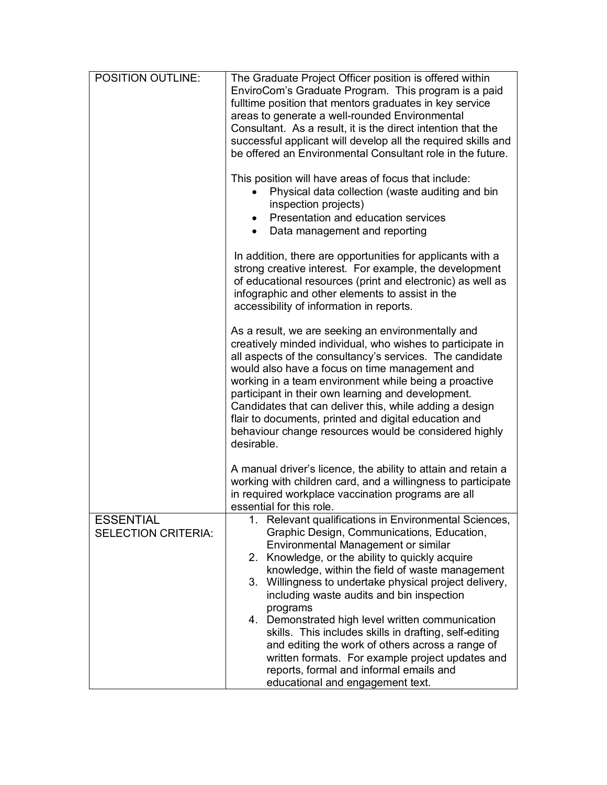| <b>POSITION OUTLINE:</b>                       | The Graduate Project Officer position is offered within<br>EnviroCom's Graduate Program. This program is a paid<br>fulltime position that mentors graduates in key service<br>areas to generate a well-rounded Environmental<br>Consultant. As a result, it is the direct intention that the<br>successful applicant will develop all the required skills and<br>be offered an Environmental Consultant role in the future.<br>This position will have areas of focus that include:<br>Physical data collection (waste auditing and bin<br>inspection projects)<br>Presentation and education services                                                                      |
|------------------------------------------------|-----------------------------------------------------------------------------------------------------------------------------------------------------------------------------------------------------------------------------------------------------------------------------------------------------------------------------------------------------------------------------------------------------------------------------------------------------------------------------------------------------------------------------------------------------------------------------------------------------------------------------------------------------------------------------|
|                                                | Data management and reporting                                                                                                                                                                                                                                                                                                                                                                                                                                                                                                                                                                                                                                               |
|                                                | In addition, there are opportunities for applicants with a<br>strong creative interest. For example, the development<br>of educational resources (print and electronic) as well as<br>infographic and other elements to assist in the<br>accessibility of information in reports.                                                                                                                                                                                                                                                                                                                                                                                           |
|                                                | As a result, we are seeking an environmentally and<br>creatively minded individual, who wishes to participate in<br>all aspects of the consultancy's services. The candidate<br>would also have a focus on time management and<br>working in a team environment while being a proactive<br>participant in their own learning and development.<br>Candidates that can deliver this, while adding a design<br>flair to documents, printed and digital education and<br>behaviour change resources would be considered highly<br>desirable.                                                                                                                                    |
|                                                | A manual driver's licence, the ability to attain and retain a<br>working with children card, and a willingness to participate<br>in required workplace vaccination programs are all<br>essential for this role.                                                                                                                                                                                                                                                                                                                                                                                                                                                             |
| <b>ESSENTIAL</b><br><b>SELECTION CRITERIA:</b> | 1. Relevant qualifications in Environmental Sciences,<br>Graphic Design, Communications, Education,<br>Environmental Management or similar<br>2. Knowledge, or the ability to quickly acquire<br>knowledge, within the field of waste management<br>Willingness to undertake physical project delivery,<br>3.<br>including waste audits and bin inspection<br>programs<br>4. Demonstrated high level written communication<br>skills. This includes skills in drafting, self-editing<br>and editing the work of others across a range of<br>written formats. For example project updates and<br>reports, formal and informal emails and<br>educational and engagement text. |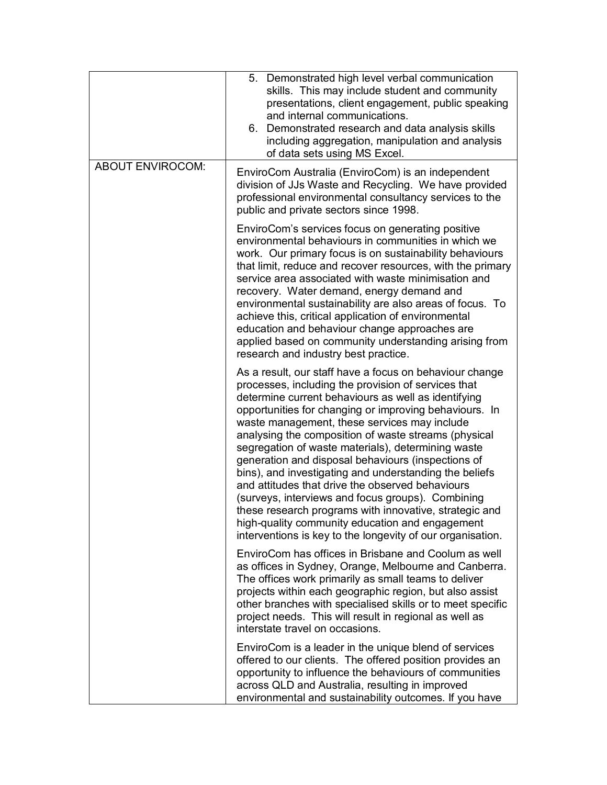|                         | 5. Demonstrated high level verbal communication<br>skills. This may include student and community<br>presentations, client engagement, public speaking<br>and internal communications.<br>6. Demonstrated research and data analysis skills<br>including aggregation, manipulation and analysis<br>of data sets using MS Excel.                                                                                                                                                                                                                                                                                                                                                                                                                                                                   |
|-------------------------|---------------------------------------------------------------------------------------------------------------------------------------------------------------------------------------------------------------------------------------------------------------------------------------------------------------------------------------------------------------------------------------------------------------------------------------------------------------------------------------------------------------------------------------------------------------------------------------------------------------------------------------------------------------------------------------------------------------------------------------------------------------------------------------------------|
| <b>ABOUT ENVIROCOM:</b> | EnviroCom Australia (EnviroCom) is an independent<br>division of JJs Waste and Recycling. We have provided<br>professional environmental consultancy services to the<br>public and private sectors since 1998.                                                                                                                                                                                                                                                                                                                                                                                                                                                                                                                                                                                    |
|                         | EnviroCom's services focus on generating positive<br>environmental behaviours in communities in which we<br>work. Our primary focus is on sustainability behaviours<br>that limit, reduce and recover resources, with the primary<br>service area associated with waste minimisation and<br>recovery. Water demand, energy demand and<br>environmental sustainability are also areas of focus. To<br>achieve this, critical application of environmental<br>education and behaviour change approaches are<br>applied based on community understanding arising from<br>research and industry best practice.                                                                                                                                                                                        |
|                         | As a result, our staff have a focus on behaviour change<br>processes, including the provision of services that<br>determine current behaviours as well as identifying<br>opportunities for changing or improving behaviours. In<br>waste management, these services may include<br>analysing the composition of waste streams (physical<br>segregation of waste materials), determining waste<br>generation and disposal behaviours (inspections of<br>bins), and investigating and understanding the beliefs<br>and attitudes that drive the observed behaviours<br>(surveys, interviews and focus groups). Combining<br>these research programs with innovative, strategic and<br>high-quality community education and engagement<br>interventions is key to the longevity of our organisation. |
|                         | EnviroCom has offices in Brisbane and Coolum as well<br>as offices in Sydney, Orange, Melbourne and Canberra.<br>The offices work primarily as small teams to deliver<br>projects within each geographic region, but also assist<br>other branches with specialised skills or to meet specific<br>project needs. This will result in regional as well as<br>interstate travel on occasions.                                                                                                                                                                                                                                                                                                                                                                                                       |
|                         | EnviroCom is a leader in the unique blend of services<br>offered to our clients. The offered position provides an<br>opportunity to influence the behaviours of communities<br>across QLD and Australia, resulting in improved<br>environmental and sustainability outcomes. If you have                                                                                                                                                                                                                                                                                                                                                                                                                                                                                                          |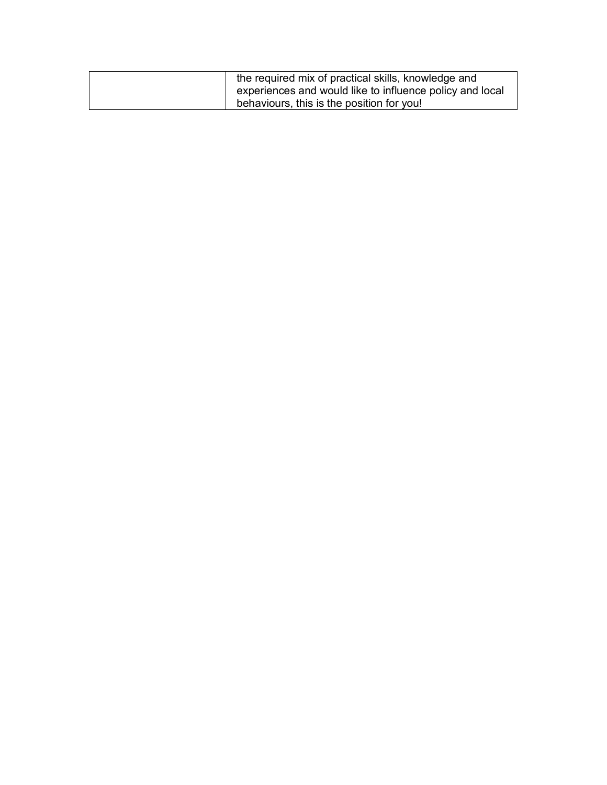| the required mix of practical skills, knowledge and<br>experiences and would like to influence policy and local |
|-----------------------------------------------------------------------------------------------------------------|
| behaviours, this is the position for you!                                                                       |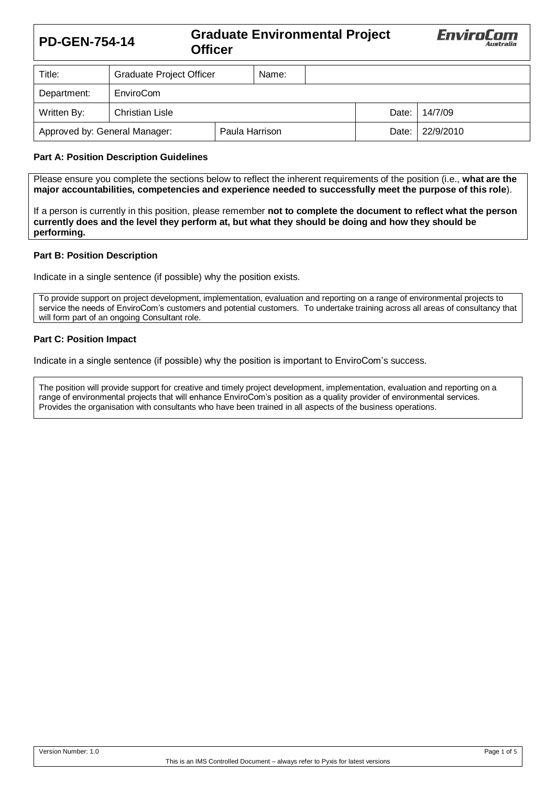# **PD-GEN-754-14 Graduate Environmental Project Officer**



| Title:                                          | <b>Graduate Project Officer</b> |  | Name:   |           |         |  |
|-------------------------------------------------|---------------------------------|--|---------|-----------|---------|--|
| Department:                                     | EnviroCom                       |  |         |           |         |  |
| Written By:                                     | <b>Christian Lisle</b>          |  |         | Date:     | 14/7/09 |  |
| Approved by: General Manager:<br>Paula Harrison |                                 |  | Date: I | 22/9/2010 |         |  |

## **Part A: Position Description Guidelines**

Please ensure you complete the sections below to reflect the inherent requirements of the position (i.e., **what are the major accountabilities, competencies and experience needed to successfully meet the purpose of this role**).

If a person is currently in this position, please remember **not to complete the document to reflect what the person currently does and the level they perform at, but what they should be doing and how they should be performing.**

#### **Part B: Position Description**

Indicate in a single sentence (if possible) why the position exists.

To provide support on project development, implementation, evaluation and reporting on a range of environmental projects to service the needs of EnviroCom's customers and potential customers. To undertake training across all areas of consultancy that will form part of an ongoing Consultant role.

#### **Part C: Position Impact**

Indicate in a single sentence (if possible) why the position is important to EnviroCom's success.

The position will provide support for creative and timely project development, implementation, evaluation and reporting on a range of environmental projects that will enhance EnviroCom's position as a quality provider of environmental services. Provides the organisation with consultants who have been trained in all aspects of the business operations.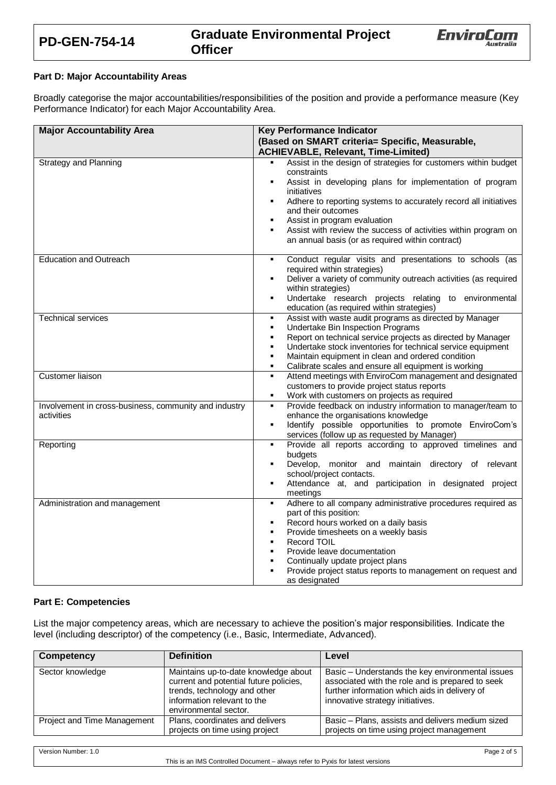



## **Part D: Major Accountability Areas**

Broadly categorise the major accountabilities/responsibilities of the position and provide a performance measure (Key Performance Indicator) for each Major Accountability Area.

| <b>Major Accountability Area</b>                      | <b>Key Performance Indicator</b>                                                                                   |  |
|-------------------------------------------------------|--------------------------------------------------------------------------------------------------------------------|--|
|                                                       | (Based on SMART criteria= Specific, Measurable,                                                                    |  |
|                                                       | <b>ACHIEVABLE, Relevant, Time-Limited)</b>                                                                         |  |
| <b>Strategy and Planning</b>                          | Assist in the design of strategies for customers within budget<br>$\blacksquare$                                   |  |
|                                                       | constraints                                                                                                        |  |
|                                                       | Assist in developing plans for implementation of program<br>٠                                                      |  |
|                                                       | initiatives                                                                                                        |  |
|                                                       | Adhere to reporting systems to accurately record all initiatives<br>٠                                              |  |
|                                                       | and their outcomes<br>Assist in program evaluation<br>٠                                                            |  |
|                                                       | Assist with review the success of activities within program on<br>$\blacksquare$                                   |  |
|                                                       | an annual basis (or as required within contract)                                                                   |  |
|                                                       |                                                                                                                    |  |
| <b>Education and Outreach</b>                         | Conduct regular visits and presentations to schools (as<br>٠                                                       |  |
|                                                       | required within strategies)                                                                                        |  |
|                                                       | Deliver a variety of community outreach activities (as required<br>٠                                               |  |
|                                                       | within strategies)                                                                                                 |  |
|                                                       | Undertake research projects relating to environmental<br>٠                                                         |  |
|                                                       | education (as required within strategies)                                                                          |  |
| <b>Technical services</b>                             | Assist with waste audit programs as directed by Manager<br>٠                                                       |  |
|                                                       | Undertake Bin Inspection Programs<br>Report on technical service projects as directed by Manager<br>$\blacksquare$ |  |
|                                                       | Undertake stock inventories for technical service equipment                                                        |  |
|                                                       | Maintain equipment in clean and ordered condition<br>$\blacksquare$                                                |  |
|                                                       | Calibrate scales and ensure all equipment is working<br>٠                                                          |  |
| <b>Customer liaison</b>                               | Attend meetings with EnviroCom management and designated<br>$\blacksquare$                                         |  |
|                                                       | customers to provide project status reports                                                                        |  |
|                                                       | Work with customers on projects as required<br>$\blacksquare$                                                      |  |
| Involvement in cross-business, community and industry | Provide feedback on industry information to manager/team to<br>٠                                                   |  |
| activities                                            | enhance the organisations knowledge                                                                                |  |
|                                                       | Identify possible opportunities to promote EnviroCom's<br>٠<br>services (follow up as requested by Manager)        |  |
| Reporting                                             | Provide all reports according to approved timelines and<br>٠                                                       |  |
|                                                       | budgets                                                                                                            |  |
|                                                       | Develop, monitor and maintain directory of relevant<br>٠                                                           |  |
|                                                       | school/project contacts.                                                                                           |  |
|                                                       | Attendance at, and participation in designated project<br>٠                                                        |  |
|                                                       | meetings                                                                                                           |  |
| Administration and management                         | Adhere to all company administrative procedures required as<br>$\blacksquare$<br>part of this position:            |  |
|                                                       | Record hours worked on a daily basis<br>٠                                                                          |  |
|                                                       | Provide timesheets on a weekly basis<br>٠                                                                          |  |
|                                                       | Record TOIL<br>٠                                                                                                   |  |
|                                                       | Provide leave documentation<br>٠                                                                                   |  |
|                                                       | Continually update project plans                                                                                   |  |
|                                                       | $\blacksquare$<br>Provide project status reports to management on request and                                      |  |
|                                                       | as designated                                                                                                      |  |

#### **Part E: Competencies**

List the major competency areas, which are necessary to achieve the position's major responsibilities. Indicate the level (including descriptor) of the competency (i.e., Basic, Intermediate, Advanced).

| <b>Competency</b>           | <b>Definition</b>                                                                                                                                                      | Level                                                                                                                                                                                     |
|-----------------------------|------------------------------------------------------------------------------------------------------------------------------------------------------------------------|-------------------------------------------------------------------------------------------------------------------------------------------------------------------------------------------|
| Sector knowledge            | Maintains up-to-date knowledge about<br>current and potential future policies,<br>trends, technology and other<br>information relevant to the<br>environmental sector. | Basic – Understands the key environmental issues<br>associated with the role and is prepared to seek<br>further information which aids in delivery of<br>innovative strategy initiatives. |
| Project and Time Management | Plans, coordinates and delivers<br>projects on time using project                                                                                                      | Basic - Plans, assists and delivers medium sized<br>projects on time using project management                                                                                             |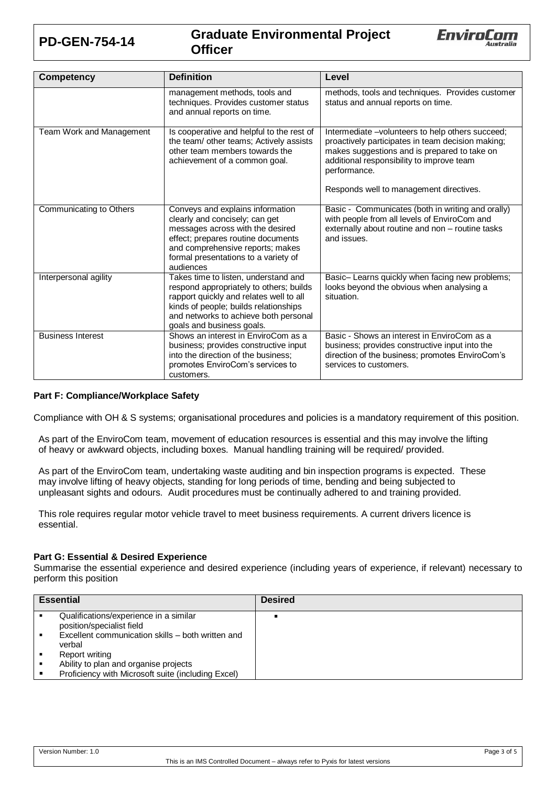

# **PD-GEN-754-14 Graduate Environmental Project Officer**



| <b>Competency</b>        | <b>Definition</b>                                                                                                                                                                                                                         | Level                                                                                                                                                                                                                                                         |  |
|--------------------------|-------------------------------------------------------------------------------------------------------------------------------------------------------------------------------------------------------------------------------------------|---------------------------------------------------------------------------------------------------------------------------------------------------------------------------------------------------------------------------------------------------------------|--|
|                          | management methods, tools and<br>techniques. Provides customer status<br>and annual reports on time.                                                                                                                                      | methods, tools and techniques. Provides customer<br>status and annual reports on time.                                                                                                                                                                        |  |
| Team Work and Management | Is cooperative and helpful to the rest of<br>the team/ other teams; Actively assists<br>other team members towards the<br>achievement of a common goal.                                                                                   | Intermediate -volunteers to help others succeed;<br>proactively participates in team decision making;<br>makes suggestions and is prepared to take on<br>additional responsibility to improve team<br>performance.<br>Responds well to management directives. |  |
| Communicating to Others  | Conveys and explains information<br>clearly and concisely; can get<br>messages across with the desired<br>effect; prepares routine documents<br>and comprehensive reports; makes<br>formal presentations to a variety of<br>audiences     | Basic - Communicates (both in writing and orally)<br>with people from all levels of EnviroCom and<br>externally about routine and non - routine tasks<br>and issues.                                                                                          |  |
| Interpersonal agility    | Takes time to listen, understand and<br>respond appropriately to others; builds<br>rapport quickly and relates well to all<br>kinds of people; builds relationships<br>and networks to achieve both personal<br>goals and business goals. | Basic-Learns quickly when facing new problems;<br>looks beyond the obvious when analysing a<br>situation.                                                                                                                                                     |  |
| <b>Business Interest</b> | Shows an interest in EnviroCom as a<br>business; provides constructive input<br>into the direction of the business:<br>promotes EnviroCom's services to<br>customers.                                                                     | Basic - Shows an interest in EnviroCom as a<br>business; provides constructive input into the<br>direction of the business; promotes EnviroCom's<br>services to customers.                                                                                    |  |

# **Part F: Compliance/Workplace Safety**

Compliance with OH & S systems; organisational procedures and policies is a mandatory requirement of this position.

As part of the EnviroCom team, movement of education resources is essential and this may involve the lifting of heavy or awkward objects, including boxes. Manual handling training will be required/ provided.

As part of the EnviroCom team, undertaking waste auditing and bin inspection programs is expected. These may involve lifting of heavy objects, standing for long periods of time, bending and being subjected to unpleasant sights and odours. Audit procedures must be continually adhered to and training provided.

This role requires regular motor vehicle travel to meet business requirements. A current drivers licence is essential.

# **Part G: Essential & Desired Experience**

Summarise the essential experience and desired experience (including years of experience, if relevant) necessary to perform this position

| <b>Essential</b>                                                                                                                   | <b>Desired</b> |
|------------------------------------------------------------------------------------------------------------------------------------|----------------|
| Qualifications/experience in a similar<br>position/specialist field<br>Excellent communication skills – both written and<br>verbal |                |
| Report writing                                                                                                                     |                |
| Ability to plan and organise projects<br>Proficiency with Microsoft suite (including Excel)                                        |                |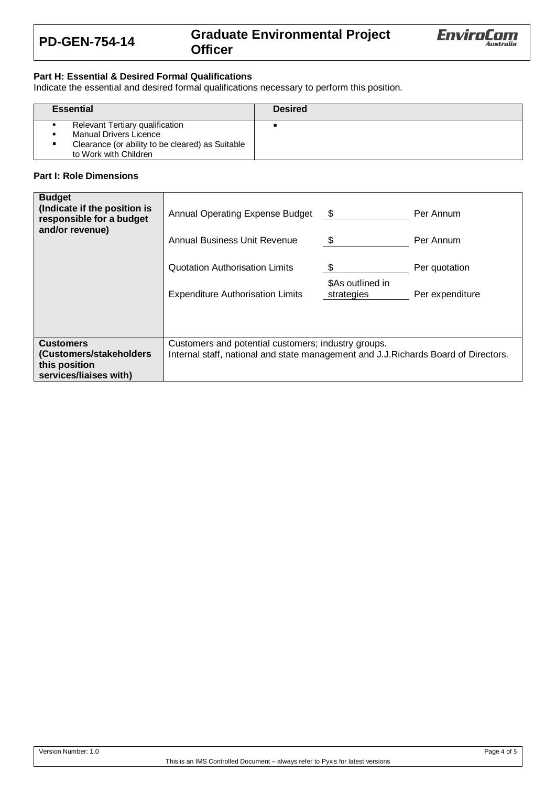

# **PD-GEN-754-14 Graduate Environmental Project Officer**



# **Part H: Essential & Desired Formal Qualifications**

Indicate the essential and desired formal qualifications necessary to perform this position.

|                                                                                                                                               | <b>Desired</b> |
|-----------------------------------------------------------------------------------------------------------------------------------------------|----------------|
| Relevant Tertiary qualification<br><b>Manual Drivers Licence</b><br>Clearance (or ability to be cleared) as Suitable<br>to Work with Children |                |

## **Part I: Role Dimensions**

| <b>Budget</b><br>(Indicate if the position is<br>responsible for a budget<br>and/or revenue) | Annual Operating Expense Budget<br><b>Annual Business Unit Revenue</b><br>Quotation Authorisation Limits<br><b>Expenditure Authorisation Limits</b> | - \$<br>\$<br>\$<br>\$As outlined in<br>strategies | Per Annum<br>Per Annum<br>Per quotation<br>Per expenditure |
|----------------------------------------------------------------------------------------------|-----------------------------------------------------------------------------------------------------------------------------------------------------|----------------------------------------------------|------------------------------------------------------------|
| <b>Customers</b><br>(Customers/stakeholders<br>this position<br>services/liaises with)       | Customers and potential customers; industry groups.<br>Internal staff, national and state management and J.J.Richards Board of Directors.           |                                                    |                                                            |